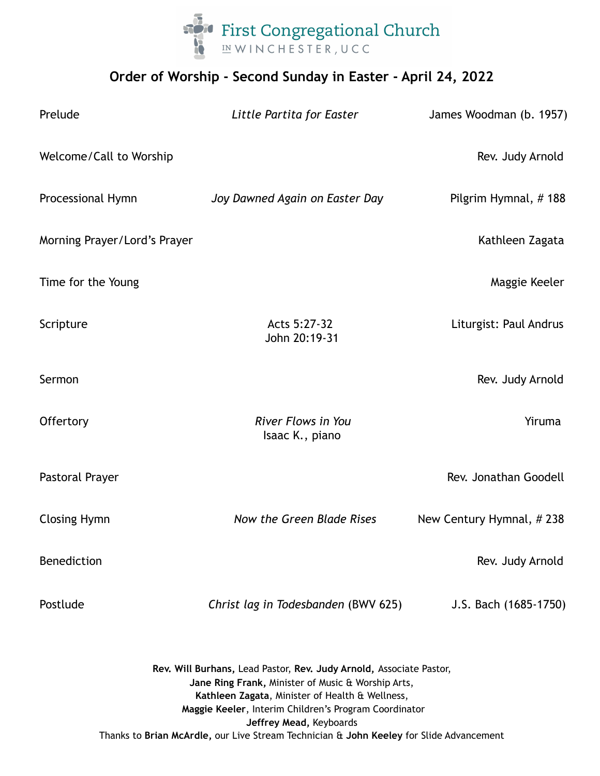

## **Order of Worship - Second Sunday in Easter - April 24, 2022**

| Prelude                                                                                                                                                                                                                                                                                                                                                     | Little Partita for Easter                    | James Woodman (b. 1957)  |
|-------------------------------------------------------------------------------------------------------------------------------------------------------------------------------------------------------------------------------------------------------------------------------------------------------------------------------------------------------------|----------------------------------------------|--------------------------|
| Welcome/Call to Worship                                                                                                                                                                                                                                                                                                                                     |                                              | Rev. Judy Arnold         |
| Processional Hymn                                                                                                                                                                                                                                                                                                                                           | Joy Dawned Again on Easter Day               | Pilgrim Hymnal, #188     |
| Morning Prayer/Lord's Prayer                                                                                                                                                                                                                                                                                                                                |                                              | Kathleen Zagata          |
| Time for the Young                                                                                                                                                                                                                                                                                                                                          |                                              | Maggie Keeler            |
| Scripture                                                                                                                                                                                                                                                                                                                                                   | Acts 5:27-32<br>John 20:19-31                | Liturgist: Paul Andrus   |
| Sermon                                                                                                                                                                                                                                                                                                                                                      |                                              | Rev. Judy Arnold         |
| Offertory                                                                                                                                                                                                                                                                                                                                                   | <b>River Flows in You</b><br>Isaac K., piano | Yiruma                   |
| Pastoral Prayer                                                                                                                                                                                                                                                                                                                                             |                                              | Rev. Jonathan Goodell    |
| <b>Closing Hymn</b>                                                                                                                                                                                                                                                                                                                                         | Now the Green Blade Rises                    | New Century Hymnal, #238 |
| Benediction                                                                                                                                                                                                                                                                                                                                                 |                                              | Rev. Judy Arnold         |
| Postlude                                                                                                                                                                                                                                                                                                                                                    | Christ lag in Todesbanden (BWV 625)          | J.S. Bach (1685-1750)    |
| Rev. Will Burhans, Lead Pastor, Rev. Judy Arnold, Associate Pastor,<br>Jane Ring Frank, Minister of Music & Worship Arts,<br>Kathleen Zagata, Minister of Health & Wellness,<br>Maggie Keeler, Interim Children's Program Coordinator<br>Jeffrey Mead, Keyboards<br>Thanks to Brian McArdle, our Live Stream Technician & John Keeley for Slide Advancement |                                              |                          |